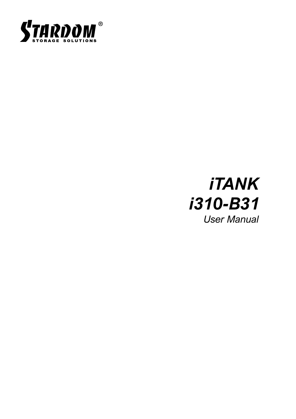

# *iTANK User Manual i310-B31*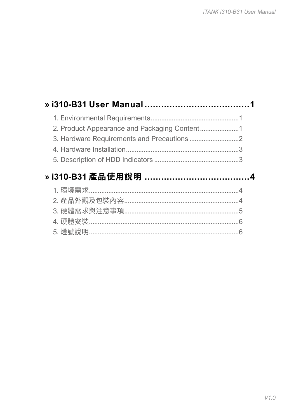| » i310-B31 產品使用說明 …………………………………4 |  |
|----------------------------------|--|
|                                  |  |
|                                  |  |
|                                  |  |
|                                  |  |
|                                  |  |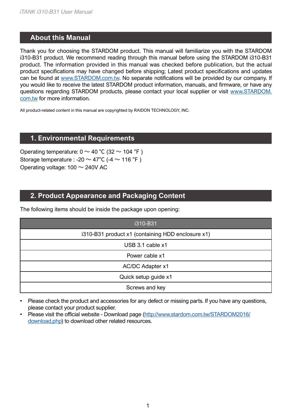#### <span id="page-2-0"></span>**About this Manual » i310-B31 User Manual**

Thank you for choosing the STARDOM product. This manual will familiarize you with the STARDOM i310-B31 product. We recommend reading through this manual before using the STARDOM i310-B31 product. The information provided in this manual was checked before publication, but the actual product specifications may have changed before shipping; Latest product specifications and updates can be found at [www.STARDOM.com.tw](http://www.stardom.com.tw). No separate notifications will be provided by our company. If you would like to receive the latest STARDOM product information, manuals, and firmware, or have any questions regarding STARDOM products, please contact your local supplier or visit [www.STARDOM.](http://www.stardom.com.tw) [com.tw](http://www.stardom.com.tw) for more information.

All product-related content in this manual are copyrighted by RAIDON TECHNOLOGY, INC.

#### **1. Environmental Requirements**

Operating temperature:  $0 \sim 40$  °C (32  $\sim$  104 °F) Storage temperature : -20  $\sim$  47°C (-4  $\sim$  116 °F) Operating voltage:  $100 \sim 240V$  AC

## **2. Product Appearance and Packaging Content**

The following items should be inside the package upon opening:

| i310-B31                                          |
|---------------------------------------------------|
| i310-B31 product x1 (containing HDD enclosure x1) |
| USB 3.1 cable x1                                  |
| Power cable x1                                    |
| AC/DC Adapter x1                                  |
| Quick setup guide x1                              |
| Screws and key                                    |

• Please check the product and accessories for any defect or missing parts. If you have any questions, please contact your product supplier.

• Please visit the official website - Download page [\(http://www.stardom.com.tw/STARDOM2016/](http://www.stardom.com.tw/STARDOM2016/download.php) [download.php](http://www.stardom.com.tw/STARDOM2016/download.php)) to download other related resources.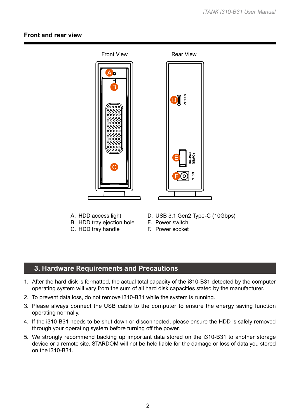#### <span id="page-3-0"></span>**Front and rear view**



- A. HDD access light
- B. HDD tray ejection hole
- C. HDD tray handle
- D. USB 3.1 Gen2 Type-C (10Gbps)
- E. Power switch
- F. Power socket

#### **3. Hardware Requirements and Precautions**

- 1. After the hard disk is formatted, the actual total capacity of the i310-B31 detected by the computer operating system will vary from the sum of all hard disk capacities stated by the manufacturer.
- 2. To prevent data loss, do not remove i310-B31 while the system is running.
- 3. Please always connect the USB cable to the computer to ensure the energy saving function operating normally.
- 4. If the i310-B31 needs to be shut down or disconnected, please ensure the HDD is safely removed through your operating system before turning off the power.
- 5. We strongly recommend backing up important data stored on the i310-B31 to another storage device or a remote site. STARDOM will not be held liable for the damage or loss of data you stored on the i310-B31.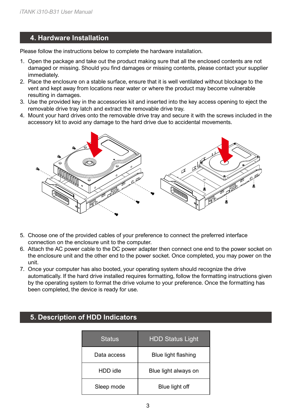## <span id="page-4-0"></span>**4. Hardware Installation**

Please follow the instructions below to complete the hardware installation.

- 1. Open the package and take out the product making sure that all the enclosed contents are not damaged or missing. Should you find damages or missing contents, please contact your supplier immediately.
- 2. Place the enclosure on a stable surface, ensure that it is well ventilated without blockage to the vent and kept away from locations near water or where the product may become vulnerable resulting in damages.
- 3. Use the provided key in the accessories kit and inserted into the key access opening to eject the removable drive tray latch and extract the removable drive tray.
- 4. Mount your hard drives onto the removable drive tray and secure it with the screws included in the accessory kit to avoid any damage to the hard drive due to accidental movements.



- 5. Choose one of the provided cables of your preference to connect the preferred interface connection on the enclosure unit to the computer.
- 6. Attach the AC power cable to the DC power adapter then connect one end to the power socket on the enclosure unit and the other end to the power socket. Once completed, you may power on the unit.
- 7. Once your computer has also booted, your operating system should recognize the drive automatically. If the hard drive installed requires formatting, follow the formatting instructions given by the operating system to format the drive volume to your preference. Once the formatting has been completed, the device is ready for use.

| <b>Status</b> | <b>HDD Status Light</b> |
|---------------|-------------------------|
| Data access   | Blue light flashing     |
| HDD idle      | Blue light always on    |
| Sleep mode    | Blue light off          |

# **5. Description of HDD Indicators**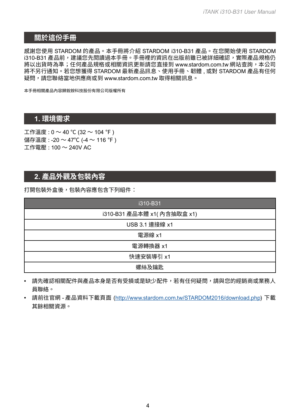## <span id="page-5-0"></span>**關於這份手冊**

感謝您使用 STARDOM 的產品。本手冊將介紹 STARDOM i310-B31 產品。在您開始使用 STARDOM i310-B31 產品前,建議您先閱讀過本手冊。手冊裡的資訊在出版前雖已被詳細確認,實際產品規格仍 將以出貨時為準;任何產品規格或相關資訊更新請您直接到 www.stardom.com.tw 網站查詢,本公司 將不另行通知。若您想獲得 STARDOM 最新產品訊息、使用手冊、韌體 , 或對 STARDOM 產品有任何 疑問,請您聯絡當地供應商或到 www.stardom.com.tw 取得相關訊息。

本手冊相關產品內容歸銳銨科技股份有限公司版權所有

## **1. 環境需求**

工作溫度 : 0 ~ 40 ℃ (32 ~ 104 ℉ ) 儲存溫度 : -20 ~ 47℃ (-4 ~ 116 ℉ ) 工作電壓 : 100 ~ 240V AC

# **2. 產品外觀及包裝內容**

打開包裝外盒後,包裝內容應包含下列組件:

| i310-B31                    |
|-----------------------------|
| i310-B31 產品本體 x1( 內含抽取盒 x1) |
| USB 3.1 連接線 x1              |
| 電源線 x1                      |
| 電源轉換器 x1                    |
| 快速安裝導引 x1                   |
| 螺絲及鑰匙                       |

- 請先確認相關配件與產品本身是否有受損或是缺少配件,若有任何疑問,請與您的經銷商或業務人 員聯絡。
- 請前往官網 產品資料下載頁面 (<http://www.stardom.com.tw/STARDOM2016/download.php>) 下載 其餘相關資源。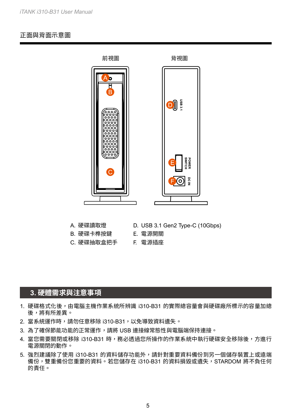#### <span id="page-6-0"></span>正面與背面示意圖



- A. 硬碟讀取燈
- B. 硬碟卡榫按鍵
- C. 硬碟抽取盒把手 F. 電源插座
- D. USB 3.1 Gen2 Type-C (10Gbps)
- E. 電源開關
	-

#### **3. 硬體需求與注意事項**

- 1. 硬碟格式化後,由電腦主機作業系統所辨識 i310-B31 的實際總容量會與硬碟廠所標示的容量加總 後,將有所差異。
- 2. 當系統運作時,請勿任意移除 i310-B31,以免導致資料遺失。
- 3. 為了確保節能功能的正常運作,請將 USB 連接線常態性與電腦端保持連接。
- 4. 當您需要關閉或移除 i310-B31 時,務必透過您所操作的作業系統中執行硬碟安全移除後,方進行 電源關閉的動作。
- 5. 強烈建議除了使用 i310-B31 的資料儲存功能外,請針對重要資料備份到另一個儲存裝置上或遠端 備份,雙重備份您重要的資料。若您儲存在 i310-B31 的資料捐毀或遺失,STARDOM 將不負任何 的責任。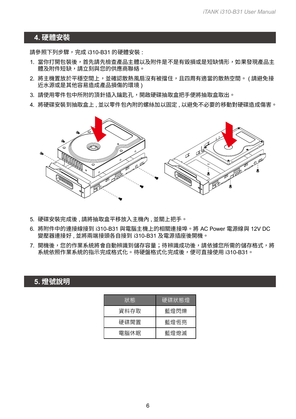#### <span id="page-7-0"></span>**4. 硬體安裝**

請參照下列步驟,完成 i310-B31 的硬體安裝 :

- 1. 當你打開包裝後,首先請先檢查產品主體以及附件是不是有毀損或是短缺情形,如果發現產品主 體及附件短缺,請立刻與您的供應商聯絡。
- 2. 將主機置放於平穩空間上,並確認散熱風扇沒有被擋住,且四周有適當的散熱空間。 ( 請避免接 近水源或是其他容易造成產品損傷的環境 )
- 3. 請使用零件包中所附的頂針插入鑰匙孔,開啟硬碟抽取盒把手便將抽取盒取出。
- 4. 將硬碟安裝到抽取盒上 , 並以零件包內附的螺絲加以固定 , 以避免不必要的移動對硬碟造成傷害。



- 5. 硬碟安裝完成後 , 請將抽取盒平移放入主機內 , 並關上把手。
- 6. 將附件中的連接線接到 i310-B31 與電腦主機上的相關連接埠。將 AC Power 電源線與 12V DC 變壓器連接好 , 並將兩端接頭各自接到 i310-B31 及電源插座後開機。
- 7. 開機後,您的作業系統將會自動辨識到儲存容量;待辨識成功後,請依據您所需的儲存格式,將 系統依照作業系統的指示完成格式化。待硬盤格式化完成後,便可直接使用 i310-B31。

# **5. 燈號說明**

| 狀態   | 硬碟狀態燈 |
|------|-------|
| 資料存取 | 藍燈閃爍  |
| 硬碟間置 | 藍燈恆亮  |
| 電腦休眠 | 藍燈熄滅  |